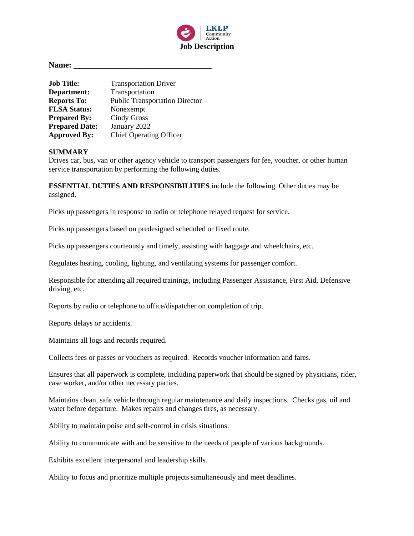

**Name: \_\_\_\_\_\_\_\_\_\_\_\_\_\_\_\_\_\_\_\_\_\_\_\_\_\_\_\_\_\_\_\_\_\_**

| <b>Job Title:</b>     | <b>Transportation Driver</b>          |  |
|-----------------------|---------------------------------------|--|
| Department:           | Transportation                        |  |
| <b>Reports To:</b>    | <b>Public Transportation Director</b> |  |
| <b>FLSA Status:</b>   | Nonexempt                             |  |
| <b>Prepared By:</b>   | <b>Cindy Gross</b>                    |  |
| <b>Prepared Date:</b> | January 2022                          |  |
| <b>Approved By:</b>   | <b>Chief Operating Officer</b>        |  |

#### **SUMMARY**

Drives car, bus, van or other agency vehicle to transport passengers for fee, voucher, or other human service transportation by performing the following duties.

**ESSENTIAL DUTIES AND RESPONSIBILITIES** include the following. Other duties may be assigned.

Picks up passengers in response to radio or telephone relayed request for service.

Picks up passengers based on predesigned scheduled or fixed route.

Picks up passengers courteously and timely, assisting with baggage and wheelchairs, etc.

Regulates heating, cooling, lighting, and ventilating systems for passenger comfort.

Responsible for attending all required trainings, including Passenger Assistance, First Aid, Defensive driving, etc.

Reports by radio or telephone to office/dispatcher on completion of trip.

Reports delays or accidents.

Maintains all logs and records required.

Collects fees or passes or vouchers as required. Records voucher information and fares.

Ensures that all paperwork is complete, including paperwork that should be signed by physicians, rider, case worker, and/or other necessary parties.

Maintains clean, safe vehicle through regular maintenance and daily inspections. Checks gas, oil and water before departure. Makes repairs and changes tires, as necessary.

Ability to maintain poise and self-control in crisis situations.

Ability to communicate with and be sensitive to the needs of people of various backgrounds.

Exhibits excellent interpersonal and leadership skills.

Ability to focus and prioritize multiple projects simultaneously and meet deadlines.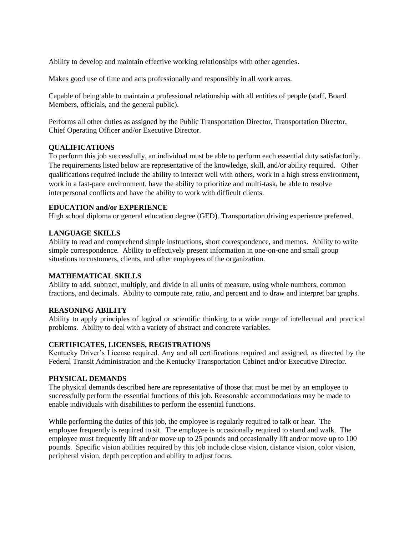Ability to develop and maintain effective working relationships with other agencies.

Makes good use of time and acts professionally and responsibly in all work areas.

Capable of being able to maintain a professional relationship with all entities of people (staff, Board Members, officials, and the general public).

Performs all other duties as assigned by the Public Transportation Director, Transportation Director, Chief Operating Officer and/or Executive Director.

### **QUALIFICATIONS**

To perform this job successfully, an individual must be able to perform each essential duty satisfactorily. The requirements listed below are representative of the knowledge, skill, and/or ability required. Other qualifications required include the ability to interact well with others, work in a high stress environment, work in a fast-pace environment, have the ability to prioritize and multi-task, be able to resolve interpersonal conflicts and have the ability to work with difficult clients.

## **EDUCATION and/or EXPERIENCE**

High school diploma or general education degree (GED). Transportation driving experience preferred.

# **LANGUAGE SKILLS**

Ability to read and comprehend simple instructions, short correspondence, and memos. Ability to write simple correspondence. Ability to effectively present information in one-on-one and small group situations to customers, clients, and other employees of the organization.

### **MATHEMATICAL SKILLS**

Ability to add, subtract, multiply, and divide in all units of measure, using whole numbers, common fractions, and decimals. Ability to compute rate, ratio, and percent and to draw and interpret bar graphs.

### **REASONING ABILITY**

Ability to apply principles of logical or scientific thinking to a wide range of intellectual and practical problems. Ability to deal with a variety of abstract and concrete variables.

### **CERTIFICATES, LICENSES, REGISTRATIONS**

Kentucky Driver's License required. Any and all certifications required and assigned, as directed by the Federal Transit Administration and the Kentucky Transportation Cabinet and/or Executive Director.

### **PHYSICAL DEMANDS**

The physical demands described here are representative of those that must be met by an employee to successfully perform the essential functions of this job. Reasonable accommodations may be made to enable individuals with disabilities to perform the essential functions.

While performing the duties of this job, the employee is regularly required to talk or hear. The employee frequently is required to sit. The employee is occasionally required to stand and walk. The employee must frequently lift and/or move up to 25 pounds and occasionally lift and/or move up to 100 pounds. Specific vision abilities required by this job include close vision, distance vision, color vision, peripheral vision, depth perception and ability to adjust focus.